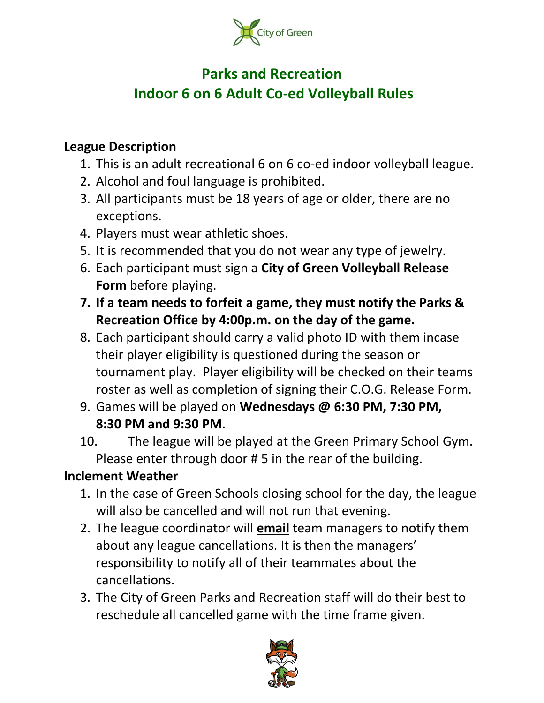

# **Parks and Recreation Indoor 6 on 6 Adult Co-ed Volleyball Rules**

#### **League Description**

- 1. This is an adult recreational 6 on 6 co-ed indoor volleyball league.
- 2. Alcohol and foul language is prohibited.
- 3. All participants must be 18 years of age or older, there are no exceptions.
- 4. Players must wear athletic shoes.
- 5. It is recommended that you do not wear any type of jewelry.
- 6. Each participant must sign a **City of Green Volleyball Release Form** before playing.
- **7. If a team needs to forfeit a game, they must notify the Parks & Recreation Office by 4:00p.m. on the day of the game.**
- 8. Each participant should carry a valid photo ID with them incase their player eligibility is questioned during the season or tournament play. Player eligibility will be checked on their teams roster as well as completion of signing their C.O.G. Release Form.
- 9. Games will be played on **Wednesdays @ 6:30 PM, 7:30 PM, 8:30 PM and 9:30 PM**.
- 10. The league will be played at the Green Primary School Gym. Please enter through door # 5 in the rear of the building.

### **Inclement Weather**

- 1. In the case of Green Schools closing school for the day, the league will also be cancelled and will not run that evening.
- 2. The league coordinator will **email** team managers to notify them about any league cancellations. It is then the managers' responsibility to notify all of their teammates about the cancellations.
- 3. The City of Green Parks and Recreation staff will do their best to reschedule all cancelled game with the time frame given.

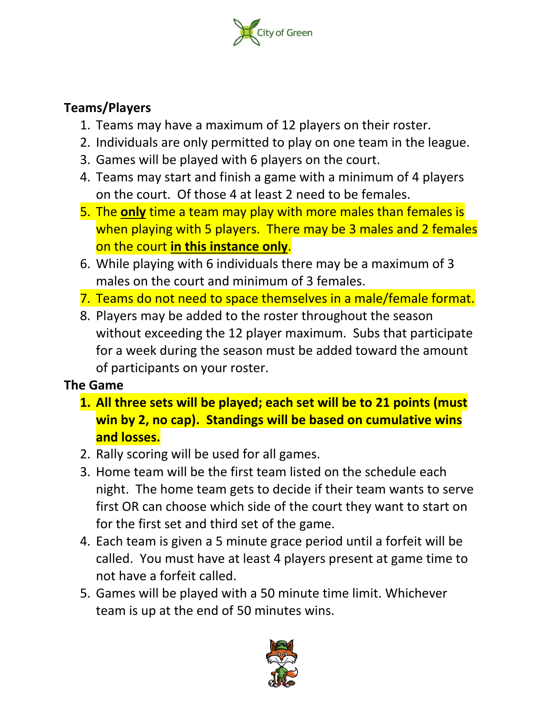

### **Teams/Players**

- 1. Teams may have a maximum of 12 players on their roster.
- 2. Individuals are only permitted to play on one team in the league.
- 3. Games will be played with 6 players on the court.
- 4. Teams may start and finish a game with a minimum of 4 players on the court. Of those 4 at least 2 need to be females.
- 5. The **only** time a team may play with more males than females is when playing with 5 players. There may be 3 males and 2 females on the court **in this instance only**.
- 6. While playing with 6 individuals there may be a maximum of 3 males on the court and minimum of 3 females.
- 7. Teams do not need to space themselves in a male/female format.
- 8. Players may be added to the roster throughout the season without exceeding the 12 player maximum. Subs that participate for a week during the season must be added toward the amount of participants on your roster.

### **The Game**

- **1. All three sets will be played; each set will be to 21 points (must win by 2, no cap). Standings will be based on cumulative wins and losses.**
- 2. Rally scoring will be used for all games.
- 3. Home team will be the first team listed on the schedule each night. The home team gets to decide if their team wants to serve first OR can choose which side of the court they want to start on for the first set and third set of the game.
- 4. Each team is given a 5 minute grace period until a forfeit will be called. You must have at least 4 players present at game time to not have a forfeit called.
- 5. Games will be played with a 50 minute time limit. Whichever team is up at the end of 50 minutes wins.

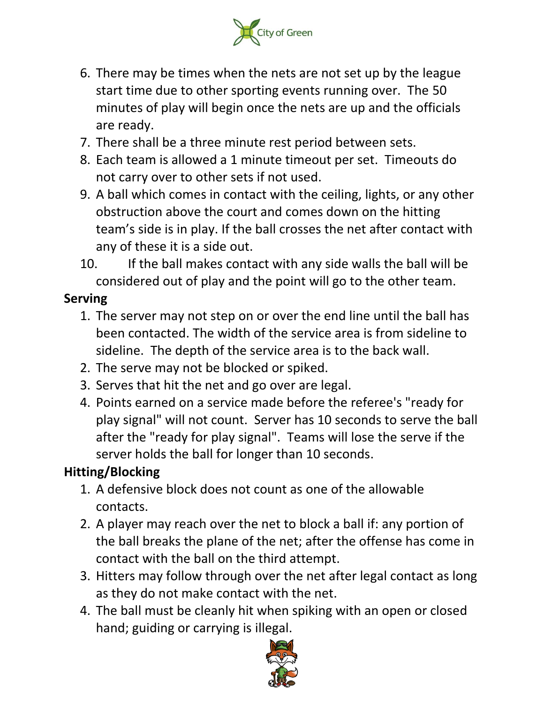

- 6. There may be times when the nets are not set up by the league start time due to other sporting events running over. The 50 minutes of play will begin once the nets are up and the officials are ready.
- 7. There shall be a three minute rest period between sets.
- 8. Each team is allowed a 1 minute timeout per set. Timeouts do not carry over to other sets if not used.
- 9. A ball which comes in contact with the ceiling, lights, or any other obstruction above the court and comes down on the hitting team's side is in play. If the ball crosses the net after contact with any of these it is a side out.
- 10. If the ball makes contact with any side walls the ball will be considered out of play and the point will go to the other team.

### **Serving**

- 1. The server may not step on or over the end line until the ball has been contacted. The width of the service area is from sideline to sideline. The depth of the service area is to the back wall.
- 2. The serve may not be blocked or spiked.
- 3. Serves that hit the net and go over are legal.
- 4. Points earned on a service made before the referee's "ready for play signal" will not count. Server has 10 seconds to serve the ball after the "ready for play signal". Teams will lose the serve if the server holds the ball for longer than 10 seconds.

### **Hitting/Blocking**

- 1. A defensive block does not count as one of the allowable contacts.
- 2. A player may reach over the net to block a ball if: any portion of the ball breaks the plane of the net; after the offense has come in contact with the ball on the third attempt.
- 3. Hitters may follow through over the net after legal contact as long as they do not make contact with the net.
- 4. The ball must be cleanly hit when spiking with an open or closed hand; guiding or carrying is illegal.

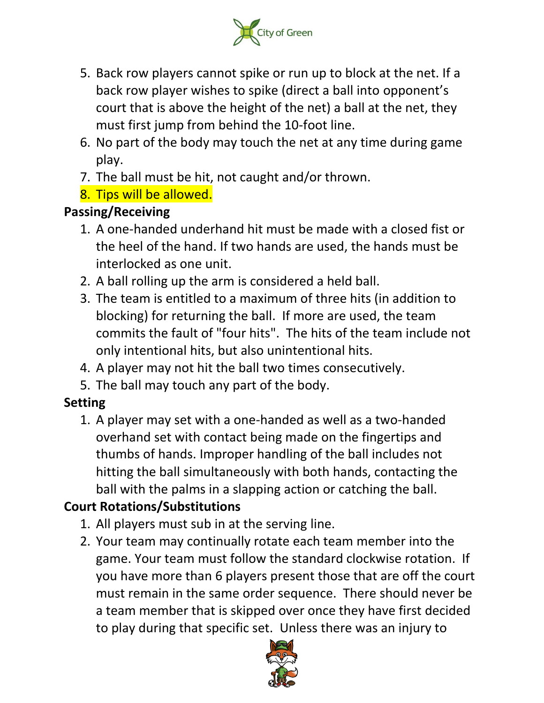

- 5. Back row players cannot spike or run up to block at the net. If a back row player wishes to spike (direct a ball into opponent's court that is above the height of the net) a ball at the net, they must first jump from behind the 10-foot line.
- 6. No part of the body may touch the net at any time during game play.
- 7. The ball must be hit, not caught and/or thrown.
- 8. Tips will be allowed.

## **Passing/Receiving**

- 1. A one-handed underhand hit must be made with a closed fist or the heel of the hand. If two hands are used, the hands must be interlocked as one unit.
- 2. A ball rolling up the arm is considered a held ball.
- 3. The team is entitled to a maximum of three hits (in addition to blocking) for returning the ball. If more are used, the team commits the fault of "four hits". The hits of the team include not only intentional hits, but also unintentional hits.
- 4. A player may not hit the ball two times consecutively.
- 5. The ball may touch any part of the body.

## **Setting**

1. A player may set with a one-handed as well as a two-handed overhand set with contact being made on the fingertips and thumbs of hands. Improper handling of the ball includes not hitting the ball simultaneously with both hands, contacting the ball with the palms in a slapping action or catching the ball.

# **Court Rotations/Substitutions**

- 1. All players must sub in at the serving line.
- 2. Your team may continually rotate each team member into the game. Your team must follow the standard clockwise rotation. If you have more than 6 players present those that are off the court must remain in the same order sequence. There should never be a team member that is skipped over once they have first decided to play during that specific set. Unless there was an injury to

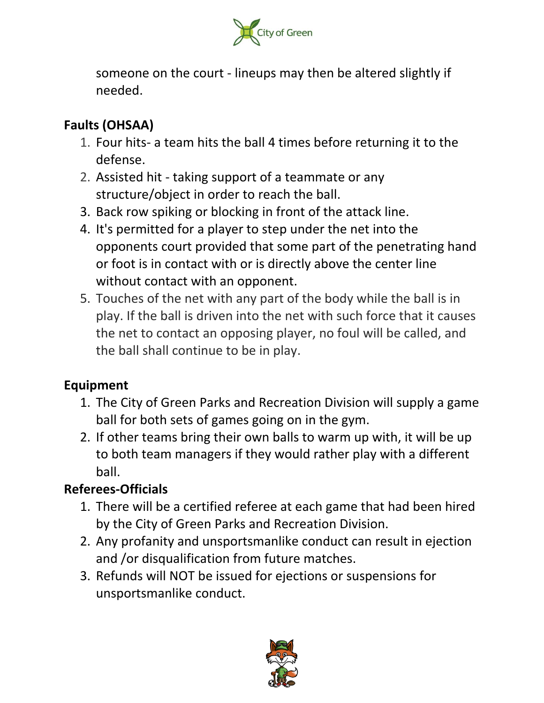

someone on the court - lineups may then be altered slightly if needed.

## **Faults (OHSAA)**

- 1. Four hits- a team hits the ball 4 times before returning it to the defense.
- 2. Assisted hit taking support of a teammate or any structure/object in order to reach the ball.
- 3. Back row spiking or blocking in front of the attack line.
- 4. It's permitted for a player to step under the net into the opponents court provided that some part of the penetrating hand or foot is in contact with or is directly above the center line without contact with an opponent.
- 5. Touches of the net with any part of the body while the ball is in play. If the ball is driven into the net with such force that it causes the net to contact an opposing player, no foul will be called, and the ball shall continue to be in play.

### **Equipment**

- 1. The City of Green Parks and Recreation Division will supply a game ball for both sets of games going on in the gym.
- 2. If other teams bring their own balls to warm up with, it will be up to both team managers if they would rather play with a different ball.

## **Referees-Officials**

- 1. There will be a certified referee at each game that had been hired by the City of Green Parks and Recreation Division.
- 2. Any profanity and unsportsmanlike conduct can result in ejection and /or disqualification from future matches.
- 3. Refunds will NOT be issued for ejections or suspensions for unsportsmanlike conduct.